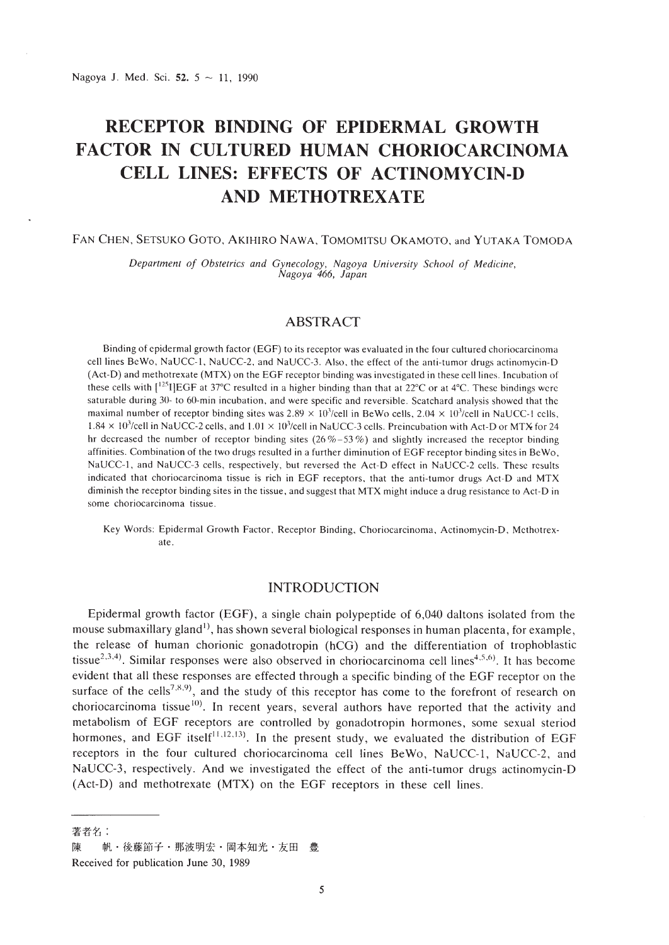# **RECEPTOR BINDING OF EPIDERMAL GROWTH FACTOR IN CULTURED HUMAN CHORIOCARCINOMA CELL LINES: EFFECTS OF ACTINOMYCIN-D AND METHOTREXATE**

#### FAN CHEN, SETSUKO GOTO, AKIHIRO NAWA, TOMOMITSU OKAMOTO, and YUTAKA TOMODA

*Department of Obstetrics and Gynecology, Nagoya University School of Medicine, Nagoya* 466, *Japan*

# ABSTRACT

Binding of epidermal growth factor (EGF) to its receptor was evaluated in the four cultured choriocarcinoma cell lines BeWo, NaUCC-l, NaUCC-2. and NaUCC-3. Also, the effect of the anti-tumor drugs actinomycin-D (Act-D) and methotrexate (MTX) on the EGF receptor binding was invcstigated in these cell lines. Incubation of these cells with  $\binom{125}{125}$  F at 37°C resulted in a higher binding than that at 22°C or at 4°C. These bindings were saturable during 30- to 60-min incubation, and were specific and reversible. Scatchard analysis showed that the maximal number of receptor binding sites was  $2.89 \times 10^{3}/cell$  in BeWo cells,  $2.04 \times 10^{3}/cell$  in NaUCC-1 cells,  $1.84 \times 10^3$ /cell in NaUCC-2 cells, and  $1.01 \times 10^3$ /cell in NaUCC-3 cells. Preincubation with Act-D or MTX for 24 hr decreased the number of receptor binding sites (26 %-53 %) and slightly increased the receptor binding affinities. Combination of the two drugs resulted in a further diminution of EGF receptor binding sites in BeWo, NaUCC-l. and NaUCC-3 eells, respectively, but reversed the Act-D effect in NaUCC-2 cells. These results indicated that choriocarcinoma tissue is rich in EGF receptors, that the anti-tumor drugs Aet-D and MTX diminish the receptor binding sites in the tissue. and suggest that MTX might induce a drug resistance to Act-D in some choriocarcinoma tissue.

Key Words: Epidermal Growth Factor, Receptor Binding, Choriocarcinoma, Actinomycin-D, Methotrexate.

# INTRODUCTION

Epidermal growth factor (EGF), a single chain polypeptide of 6,040 daltons isolated from the mouse submaxillary gland<sup>1)</sup>, has shown several biological responses in human placenta, for example, the release of human chorionic gonadotropin (hCG) and the differentiation of trophoblastic tissue<sup>2,3,4</sup>). Similar responses were also observed in choriocarcinoma cell lines<sup>4,5,6</sup>). It has become evident that all these responses are effected through a specific binding of the EGF receptor on the surface of the cells<sup>7,8,9</sup>, and the study of this receptor has come to the forefront of research on choriocarcinoma tissue<sup>10)</sup>. In recent years, several authors have reported that the activity and metabolism of EGF receptors are controlled by gonadotropin hormones, some sexual steriod hormones, and EGF itself<sup>11,12,13</sup>). In the present study, we evaluated the distribution of EGF receptors in the four cultured choriocarcinoma cell lines BeWo, NaUCC-l, NaUCC-2, and NaUCC-3, respectively. And we investigated the effect of the anti-tumor drugs actinomycin-D (Act-D) and methotrexate (MTX) on the EGF receptors in these cell lines.

著者名:

帆·後藤節子·那波明宏·岡本知光·友田 豊 陳

Received for publication June 30, 1989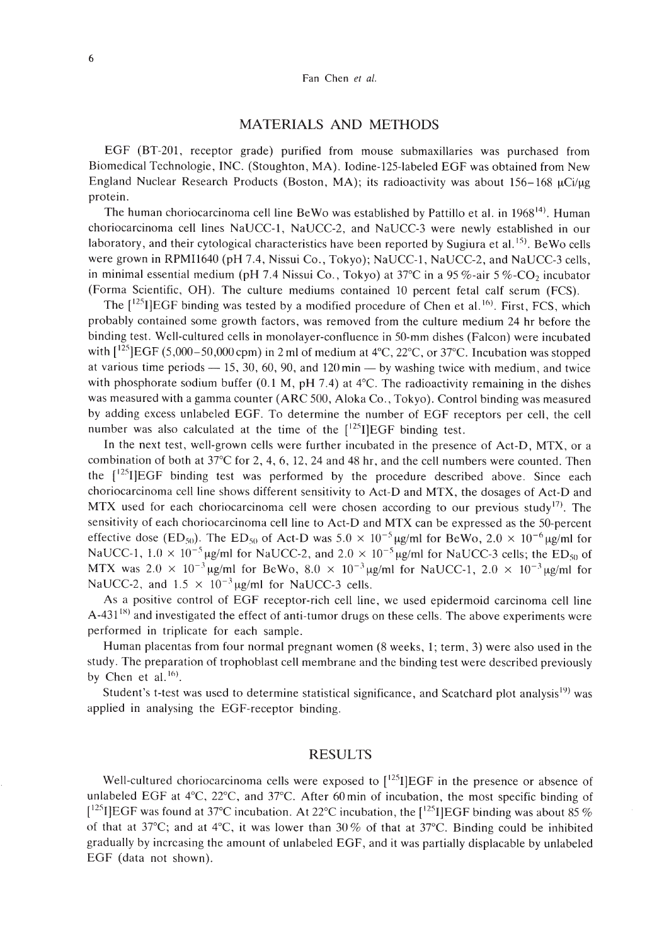## MATERIALS AND METHODS

EGF (BT-201, receptor grade) purified from mouse submaxillaries was purchased from Biomedical Technologie, INC. (Stoughton, MA). Iodine-125-labeled EGF was obtained from New England Nuclear Research Products (Boston, MA); its radioactivity was about  $156-168 \mu \text{Ci}/\mu \text{g}$ protein.

The human choriocarcinoma cell line BeWo was established by Pattillo et al. in 1968<sup>14)</sup>. Human choriocarcinoma cell lines NaUCC-1, NaUCC-2, and NaUCC-3 were newly established in our laboratory, and their cytological characteristics have been reported by Sugiura et al.<sup>15</sup>. BeWo cells were grown in RPMIl640 (pH 7.4, Nissui Co., Tokyo); NaUCC-l, NaUCC-2, and NaUCC-3 cells, in minimal essential medium (pH 7.4 Nissui Co., Tokyo) at  $37^{\circ}$ C in a  $95\%$ -air  $5\%$ -CO<sub>2</sub> incubator (Forma Scientific, OH). The culture mediums contained 10 percent fetal calf serum (FCS).

The  $[$ <sup>125</sup>I]EGF binding was tested by a modified procedure of Chen et al.<sup>16</sup>). First, FCS, which probably contained some growth factors, was removed from the culture medium 24 hr before the binding test. Well-cultured cells in monolayer-confluence in 50-mm dishes (Falcon) were incubated with  $[^{125}]\text{EGF}(5,000-50,000\text{cpm})$  in 2 ml of medium at  $4^{\circ}\text{C}$ ,  $22^{\circ}\text{C}$ , or  $37^{\circ}\text{C}$ . Incubation was stopped at various time periods  $- 15$ , 30, 60, 90, and 120 min  $-$  by washing twice with medium, and twice with phosphorate sodium buffer (0.1 M, pH 7.4) at 4°C. The radioactivity remaining in the dishes was measured with a gamma counter (ARC 500, Aloka Co. , Tokyo). Control binding was measured by adding excess unlabeled EGF. To determine the number of EGF receptors per cell, the cell number was also calculated at the time of the  $[125]$  EGF binding test.

In the next test, well-grown cells were further incubated in the presence of Act-D, MTX, or a combination of both at 37°C for 2, 4, 6, 12, 24 and 48 hr, and the cell numbers were counted. Then the  $[$ <sup>125</sup>I]EGF binding test was performed by the procedure described above. Since each choriocarcinoma cell line shows different sensitivity to Act-D and MTX, the dosages of Act-D and MTX used for each choriocarcinoma cell were chosen according to our previous study<sup>[7]</sup>. The sensitivity of each choriocarcinoma cell line to Act-D and MTX can be expressed as the 50-percent effective dose (ED<sub>50</sub>). The ED<sub>50</sub> of Act-D was  $5.0 \times 10^{-5}$  ug/ml for BeWo,  $2.0 \times 10^{-6}$  ug/ml for NaUCC-1,  $1.0 \times 10^{-5}$  ug/ml for NaUCC-2, and  $2.0 \times 10^{-5}$  ug/ml for NaUCC-3 cells; the ED<sub>50</sub> of MTX was  $2.0 \times 10^{-3}$  µg/ml for BeWo,  $8.0 \times 10^{-3}$  µg/ml for NaUCC-1,  $2.0 \times 10^{-3}$  µg/ml for NaUCC-2, and  $1.5 \times 10^{-3}$  ug/ml for NaUCC-3 cells.

As a positive control of EGF receptor-rich cell line, we used epidermoid carcinoma cell line A-431<sup>18)</sup> and investigated the effect of anti-tumor drugs on these cells. The above experiments were performed in triplicate for each sample.

Human placentas from four normal pregnant women (8 weeks, 1; term, 3) were also used in the study. The preparation of trophoblast cell membrane and the binding test were described previously by Chen et al.  $16$ .

Student's t-test was used to determine statistical significance, and Scatchard plot analysis<sup>19)</sup> was applied in analysing the EGF-receptor binding.

#### RESULTS

Well-cultured choriocarcinoma cells were exposed to  $[^{125}I]EGF$  in the presence or absence of unlabeled EGF at 4°C, 22°C, and 37°C. After 60 min of incubation, the most specific binding of [<sup>125</sup>I]EGF was found at 37°C incubation. At 22°C incubation, the [<sup>125</sup>I]EGF binding was about 85 % of that at 37 $^{\circ}$ C; and at 4 $^{\circ}$ C, it was lower than 30% of that at 37 $^{\circ}$ C. Binding could be inhibited gradually by increasing the amount of unlabeled EGF, and it was partially displacable by unlabeled EGF (data not shown).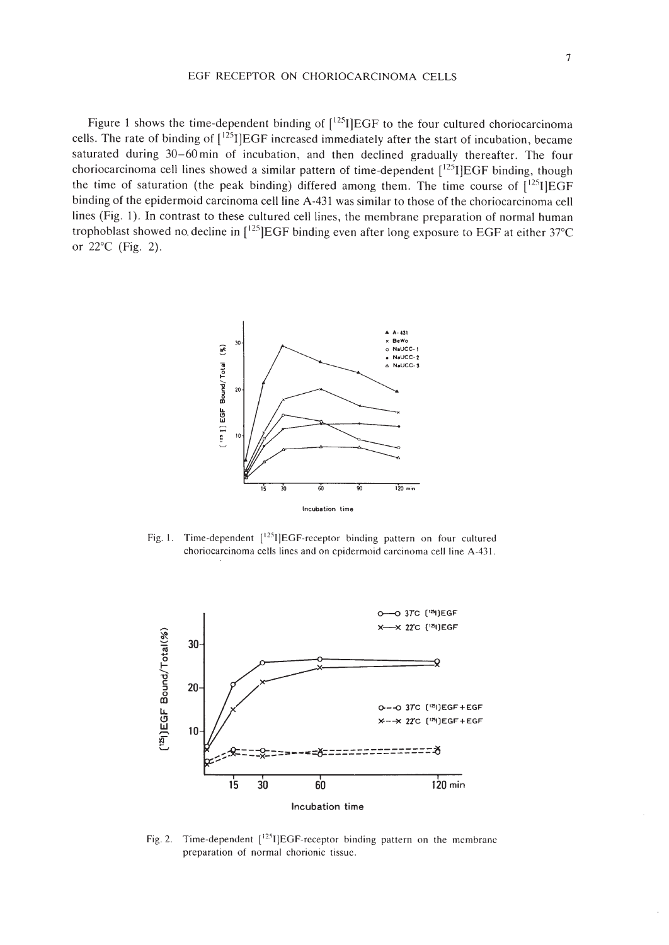#### EGF RECEPTOR ON CHORIOCARCINOMA CELLS

Figure 1 shows the time-dependent binding of  $[125]$  EGF to the four cultured choriocarcinoma cells. The rate of binding of  $[1^{25}I]EGF$  increased immediately after the start of incubation, became saturated during 30-60 min of incubation, and then declined gradually thereafter. The four choriocarcinoma cell lines showed a similar pattern of time-dependent  $\left[1^{25}I\right]EGF$  binding, though the time of saturation (the peak binding) differed among them. The time course of  $[1^{25}I]EGF$ binding of the epidermoid carcinoma cell line A-431 was similar to those of the choriocarcinoma cell lines (Fig. 1). In contrast to these cultured cell lines, the membrane preparation of normal human trophoblast showed no. decline in  $[^{125}]\text{EGF}$  binding even after long exposure to EGF at either 37°C or 22°C (Fig. 2).



Fig. 1. Time-dependent [<sup>125</sup>I]EGF-receptor binding pattern on four cultured choriocarcinoma cells lines and on epidermoid carcinoma cell line A-43l.



Fig. 2. Time-dependent  $[^{125}I]EGF-receiver$  binding pattern on the membrane preparation of normal chorionic tissue.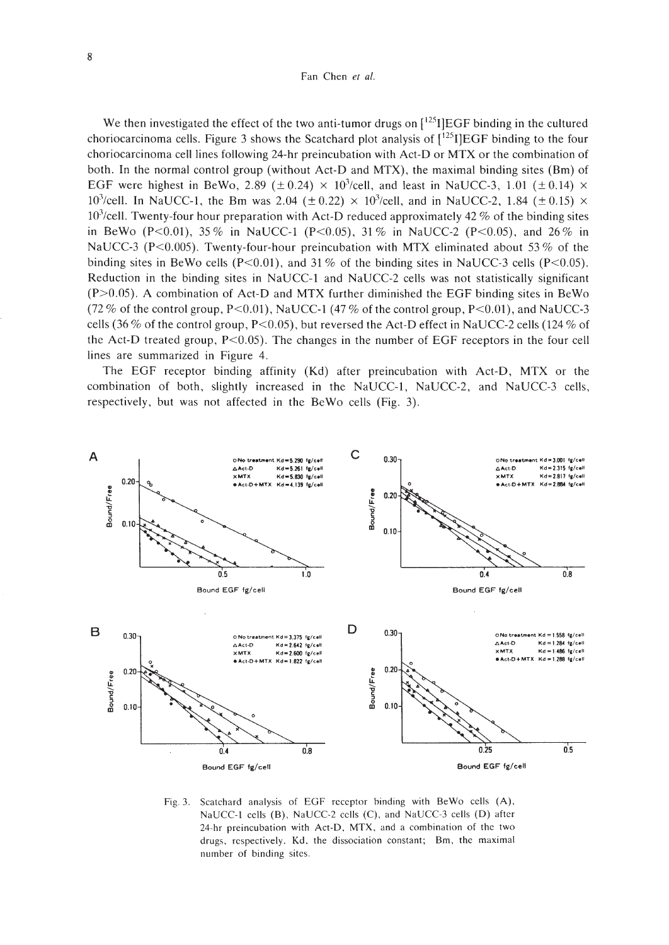We then investigated the effect of the two anti-tumor drugs on  $[{}^{125}I]EGF$  binding in the cultured choriocarcinoma cells. Figure 3 shows the Scatchard plot analysis of [<sup>125</sup>I]EGF binding to the four choriocarcinoma cell lines following 24-hr preincubation with Act-D or MTX or the combination of both. In the normal control group (without Act-D and MTX), the maximal binding sites (Bm) of EGF were highest in BeWo, 2.89 ( $\pm$  0.24)  $\times$  10<sup>3</sup>/cell, and least in NaUCC-3, 1.01 ( $\pm$  0.14)  $\times$ 10<sup>3</sup>/cell. In NaUCC-1, the Bm was 2.04 ( $\pm$  0.22)  $\times$  10<sup>3</sup>/cell, and in NaUCC-2, 1.84 ( $\pm$  0.15)  $\times$  $10<sup>3</sup>/cell$ . Twenty-four hour preparation with Act-D reduced approximately 42 % of the binding sites in BeWo (P<0.01), 35% in NaUCC-1 (P<0.05), 31% in NaUCC-2 (P<0.05), and 26% in NaUCC-3 (P<0.005). Twenty-four-hour preincubation with MTX eliminated about 53% of the binding sites in BeWo cells (P<0.01), and 31 % of the binding sites in NaUCC-3 cells (P<0.05). Reduction in the binding sites in NaUCC-1 and NaUCC-2 cells was not statistically significant  $(P>0.05)$ . A combination of Act-D and MTX further diminished the EGF binding sites in BeWo (72 % of the control group, P<0.01), NaUCC-1 (47 % of the control group, P<0.01), and NaUCC-3 cells (36 % of the control group, P<0.05), but reversed the Act-D effect in NaUCC-2 cells (124 % of the Act-D treated group,  $P<0.05$ ). The changes in the number of EGF receptors in the four cell lines are summarized in Figure 4.

The EGF receptor binding affinity (Kd) after preincubation with Act-D, MTX or the combination of both, slightly increased in the NaUCC-l, NaUCC-2, and NaUCC-3 cells, respectively, but was not affected in the BeWo cells (Fig. 3).



Fig. 3. Scatchard analysis of EGF receptor binding with BeWo cells (A). NaUCC-t cells (B). NaUCC-2 cells (C). and NaUCC-3 cells (D) after 24-hr preincubation with Act-D. MTX. and a combination of the two drugs, rcspectively. Kd. the dissociation constant; Bm. the maximal number of binding sites.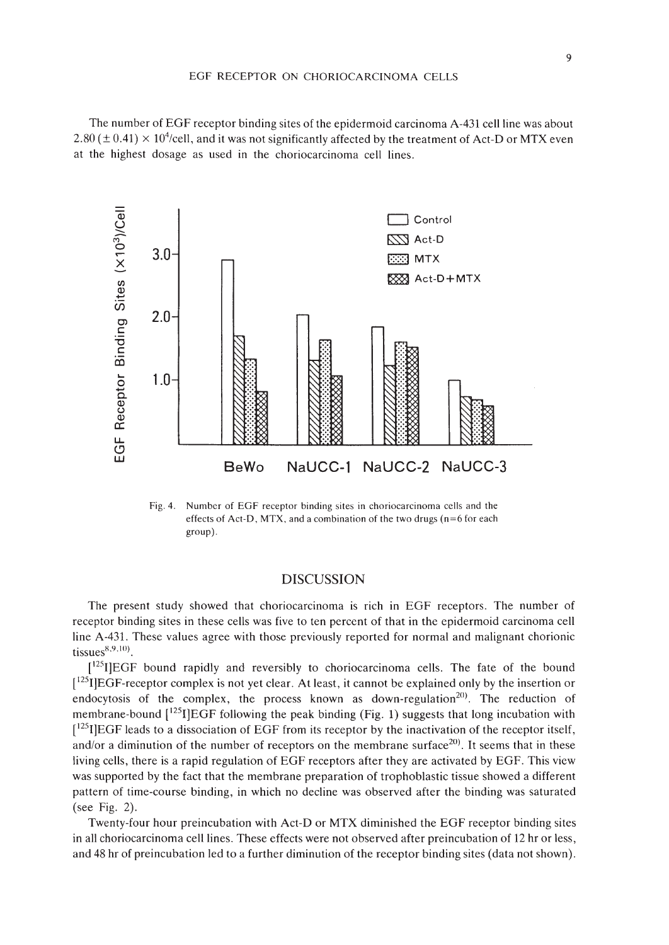The number of EGF receptor binding sites of the epidermoid carcinoma A-431 cell line was about  $2.80 \, (\pm \, 0.41) \times 10^4$ /cell, and it was not significantly affected by the treatment of Act-D or MTX even at the highest dosage as used in the choriocarcinoma cell lines.



Fig. 4. Number of EGF receptor binding sites in choriocarcinoma cells and the effects of Act-D, MTX, and a combination of the two drugs ( $n=6$  for each group).

# DISCUSSION

The present study showed that choriocarcinoma is rich in EGF receptors. The number of receptor binding sites in these cells was five to ten percent of that in the epidermoid carcinoma cell line A-431. These values agree with those previously reported for normal and malignant chorionic tissues $8,9,10$ .

 $[1^{25}]$ EGF bound rapidly and reversibly to choriocarcinoma cells. The fate of the bound  $[{}^{125}$ I]EGF-receptor complex is not yet clear. At least, it cannot be explained only by the insertion or endocytosis of the complex, the process known as down-regulation<sup>20)</sup>. The reduction of membrane-bound  $\binom{125}{1}EGF$  following the peak binding (Fig. 1) suggests that long incubation with  $[1^{25}$ I]EGF leads to a dissociation of EGF from its receptor by the inactivation of the receptor itself, and/or a diminution of the number of receptors on the membrane surface<sup>20)</sup>. It seems that in these living cells, there is a rapid regulation of EGF receptors after they are activated by EGF. This view was supported by the fact that the membrane preparation of trophoblastic tissue showed a different pattern of time-course binding, in which no decline was observed after the binding was saturated (see Fig. 2).

Twenty-four hour preincubation with Act-D or MTX diminished the EGF receptor binding sites in all choriocarcinoma cell lines. These effects were not observed after preincubation of 12 hr or less, and 48 hr of preincubation led to a further diminution of the receptor binding sites (data not shown).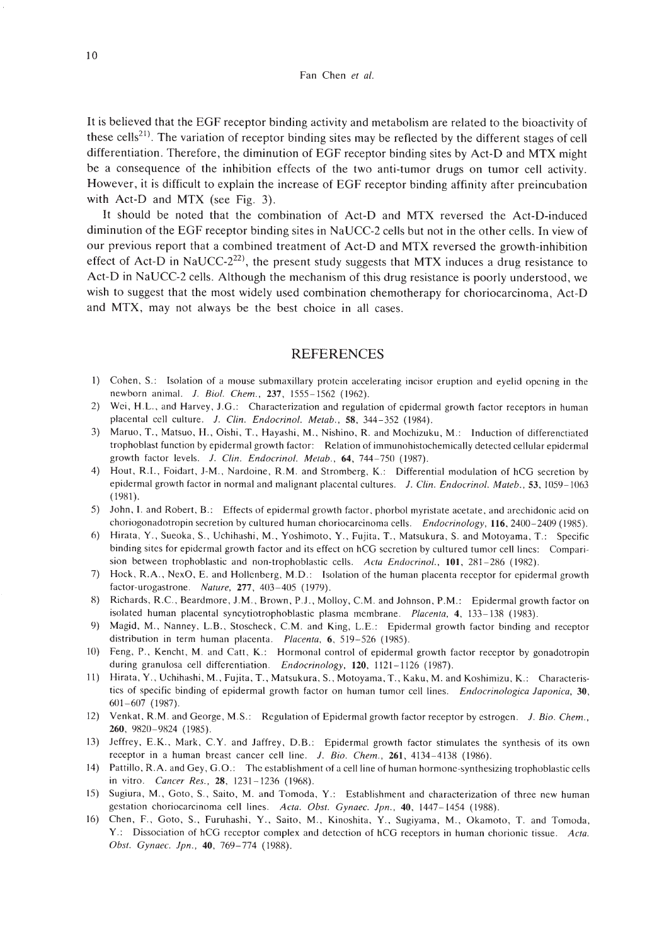It is believed that the EGF receptor binding activity and metabolism are related to the bioactivity of these cells<sup>21)</sup>. The variation of receptor binding sites may be reflected by the different stages of cell differentiation. Therefore, the diminution of EGF receptor binding sites by Act-D and MTX might be a consequence of the inhibition effects of the two anti-tumor drugs on tumor cell activity. However, it is difficult to explain the increase of EGF receptor binding affinity after preincubation with Act-D and MTX (see Fig. 3).

It should be noted that the combination of Act-D and MTX reversed the Act-D-induced diminution of the EGF receptor binding sites in NaUCC-2 cells but not in the other cells. In view of our previous report that a combined treatment of Act-D and MTX reversed the growth-inhibition effect of Act-D in NaUCC-2<sup>22)</sup>, the present study suggests that MTX induces a drug resistance to Act-D in NaUCC-2 cells. Although the mechanism of this drug resistance is poorly understood, we wish to suggest that the most widely used combination chemotherapy for choriocarcinoma, Act-D and MTX, may not always be the best choice in all cases.

## REFERENCES

- I) Cohen, S.: Isolation of a mouse submaxillary protein accelerating incisor eruption and eyelid opcning in the newborn animal. *l. Bioi. Chern.,* 237, 1555-1562 (1962).
- 2) Wei, H.L., and Harvey, J.G.: Characterization and regulation of epidermal growth factor receptors in human placental cell culture. 1. *C/in. Endocrinol. Metab.,* 58, 344-352 (1984).
- 3) Maruo. T., Matsuo, II., Oishi, T., Hayashi, M., Nishino, R. and Mochizuku, M.: Induction of differenctiated trophoblast function by epidermal growth factor: Relation of immunohistochemically detected cellular epidermal growth factor levels. *J. Clin. Endocrinol. Metab.*, 64, 744-750 (1987).
- 4) Hout, R.I., Foidart, J-M., Nardoine, R.M. and Stromberg, K.: Differential modulation of hCG secretion by epidermal growth factor in normal and malignant placental cultures. *J. Clin. Endocrinol. Mateb.*, 53, 1059–1063 (1981).
- 5) John, I. and Robert, B.: Effects of epidermal growth factor, phorbol myristate acetate, and arechidonic acid on choriogonadotropin secretion by cultured human choriocarcinoma cells. *Endocrinology*, 116, 2400–2409 (1985).
- 6) Hirata, Y., Sueoka, S., Uchihashi, M., Yoshimoto, Y., Fujita. T, Matsukura, S. and Motoyama, T: Specific binding sites for epidermal growth factor and its effect on hCG secretion by cultured tumor cell lines: Comparision between trophoblastic and non-trophoblastic cells. *Acta Endocrinol.,* **101,** 281-286 (1982).
- 7) Hock. R.A., NexO, E. and Hollenberg, M.D.: Isolation of the human placenta receptor for epidermal growth factor-urogastrone. *Nature.* 277, 403-405 (1979).
- 8) Richards, R.C., Beardmore, J.M., Brown, P.J., Molloy, C.M. and Johnson, P.M.: Epidermal growth factor on isolated human placental syncytiotrophoblastic plasma membrane. *Placenta,* 4, 133-138 (1983).
- 9) Magid, M., Nanney, L.B., Stoscheck, C.M. and King, L.E.: Epidermal growth factor binding and receptor distribution in term human placenta. *Placenta,* 6, 519-520 (1985).
- 10) Feng, P., Kencht, M. and Catt, K.: Hormonal control of epidermal growth factor receptor by gonadotropin during granulosa cell differentiation. *Endocrinology,* 120, 1121-1126 (1987).
- II) Hirata, Y., Uchihashi, M., Fujita, T., Matsukura. S., Motoyama, T, Kaku, M. and Koshimizu, K.: Characteristics of specific binding of epidermal growth factor on human tumor cell lines. *Endocrinologica laponica, 30,* 601-607 (1987).
- 12) Venkal, R.M. and George, MS.: Regulation of Epidermal growth factor receptor by estrogen. *l. Bio. Chern.,* 260, 9820-9824 (1985).
- 13) Jeffrey, E.K., Mark, C.Y. and Jaffrey, D.B.: Epidermal growth factor stimulates the synthesis of its own receptor in a human breast cancer cell line. *J. Bio. Chem.*, 261, 4134-4138 (1986).
- 14) Pattillo, R.A. and Gey, G .0.: The establishment of a cell line of human hormone-synthesizing trophoblastic cells in vitro. *Cancer Res.,* 28, 1231-1236 (1968).
- 15) Sugiura, M., Goto, S., Saito, M. and Tomoda, Y.: Establishment and characterization of three new human gestation choriocarcinoma cell lines. *Acta. Obst. Gynaec. lpn.,* 40, 1447-1454 (1988).
- 16) Chen, F., Goto, S., Furuhashi, Y., Saito, M., Kinoshita, Y., Sugiyama, M., Okamoto, T. and Tomoda, Y.: Dissociation of hCG receptor complex and detection of hCG receptors in human chorionic tissue. *Acta.* Obst. Gynaec. *Jpn.*, **40**, 769-774 (1988).